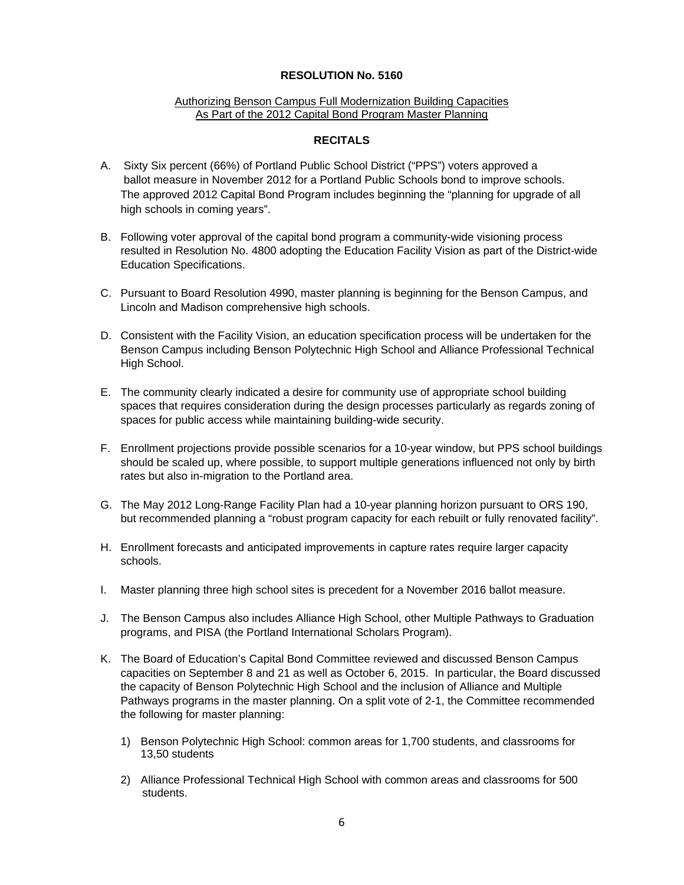## **RESOLUTION No. 5160**

## Authorizing Benson Campus Full Modernization Building Capacities As Part of the 2012 Capital Bond Program Master Planning

## **RECITALS**

- A. Sixty Six percent (66%) of Portland Public School District ("PPS") voters approved a ballot measure in November 2012 for a Portland Public Schools bond to improve schools. The approved 2012 Capital Bond Program includes beginning the "planning for upgrade of all high schools in coming years".
- B. Following voter approval of the capital bond program a community-wide visioning process resulted in Resolution No. 4800 adopting the Education Facility Vision as part of the District-wide Education Specifications.
- C. Pursuant to Board Resolution 4990, master planning is beginning for the Benson Campus, and Lincoln and Madison comprehensive high schools.
- D. Consistent with the Facility Vision, an education specification process will be undertaken for the Benson Campus including Benson Polytechnic High School and Alliance Professional Technical High School.
- E. The community clearly indicated a desire for community use of appropriate school building spaces that requires consideration during the design processes particularly as regards zoning of spaces for public access while maintaining building-wide security.
- F. Enrollment projections provide possible scenarios for a 10-year window, but PPS school buildings should be scaled up, where possible, to support multiple generations influenced not only by birth rates but also in-migration to the Portland area.
- G. The May 2012 Long-Range Facility Plan had a 10-year planning horizon pursuant to ORS 190, but recommended planning a "robust program capacity for each rebuilt or fully renovated facility".
- H. Enrollment forecasts and anticipated improvements in capture rates require larger capacity schools.
- I. Master planning three high school sites is precedent for a November 2016 ballot measure.
- J. The Benson Campus also includes Alliance High School, other Multiple Pathways to Graduation programs, and PISA (the Portland International Scholars Program).
- K. The Board of Education's Capital Bond Committee reviewed and discussed Benson Campus capacities on September 8 and 21 as well as October 6, 2015. In particular, the Board discussed the capacity of Benson Polytechnic High School and the inclusion of Alliance and Multiple Pathways programs in the master planning. On a split vote of 2-1, the Committee recommended the following for master planning:
	- 1) Benson Polytechnic High School: common areas for 1,700 students, and classrooms for 13,50 students
	- 2) Alliance Professional Technical High School with common areas and classrooms for 500 students.